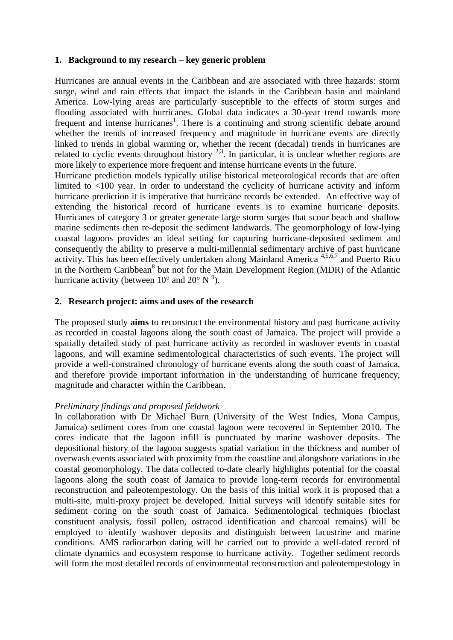### **1. Background to my research – key generic problem**

Hurricanes are annual events in the Caribbean and are associated with three hazards: storm surge, wind and rain effects that impact the islands in the Caribbean basin and mainland America. Low-lying areas are particularly susceptible to the effects of storm surges and flooding associated with hurricanes. Global data indicates a 30-year trend towards more frequent and intense hurricanes<sup>1</sup>. There is a continuing and strong scientific debate around whether the trends of increased frequency and magnitude in hurricane events are directly linked to trends in global warming or, whether the recent (decadal) trends in hurricanes are related to cyclic events throughout history  $2,3$ . In particular, it is unclear whether regions are more likely to experience more frequent and intense hurricane events in the future.

Hurricane prediction models typically utilise historical meteorological records that are often limited to <100 year. In order to understand the cyclicity of hurricane activity and inform hurricane prediction it is imperative that hurricane records be extended. An effective way of extending the historical record of hurricane events is to examine hurricane deposits. Hurricanes of category 3 or greater generate large storm surges that scour beach and shallow marine sediments then re-deposit the sediment landwards. The geomorphology of low-lying coastal lagoons provides an ideal setting for capturing hurricane-deposited sediment and consequently the ability to preserve a multi-millennial sedimentary archive of past hurricane activity. This has been effectively undertaken along Mainland America 4,5,6,7 and Puerto Rico in the Northern Caribbean<sup>8</sup> but not for the Main Development Region (MDR) of the Atlantic hurricane activity (between  $10^{\circ}$  and  $20^{\circ}$  N<sup> $9$ </sup>).

### **2. Research project: aims and uses of the research**

The proposed study **aims** to reconstruct the environmental history and past hurricane activity as recorded in coastal lagoons along the south coast of Jamaica. The project will provide a spatially detailed study of past hurricane activity as recorded in washover events in coastal lagoons, and will examine sedimentological characteristics of such events. The project will provide a well-constrained chronology of hurricane events along the south coast of Jamaica, and therefore provide important information in the understanding of hurricane frequency, magnitude and character within the Caribbean.

### *Preliminary findings and proposed fieldwork*

In collaboration with Dr Michael Burn (University of the West Indies, Mona Campus, Jamaica) sediment cores from one coastal lagoon were recovered in September 2010. The cores indicate that the lagoon infill is punctuated by marine washover deposits. The depositional history of the lagoon suggests spatial variation in the thickness and number of overwash events associated with proximity from the coastline and alongshore variations in the coastal geomorphology. The data collected to-date clearly highlights potential for the coastal lagoons along the south coast of Jamaica to provide long-term records for environmental reconstruction and paleotempestology. On the basis of this initial work it is proposed that a multi-site, multi-proxy project be developed. Initial surveys will identify suitable sites for sediment coring on the south coast of Jamaica. Sedimentological techniques (bioclast constituent analysis, fossil pollen, ostracod identification and charcoal remains) will be employed to identify washover deposits and distinguish between lacustrine and marine conditions. AMS radiocarbon dating will be carried out to provide a well-dated record of climate dynamics and ecosystem response to hurricane activity. Together sediment records will form the most detailed records of environmental reconstruction and paleotempestology in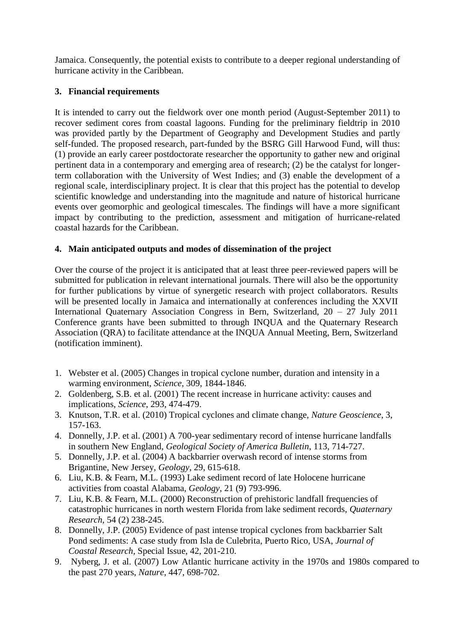Jamaica. Consequently, the potential exists to contribute to a deeper regional understanding of hurricane activity in the Caribbean.

# **3. Financial requirements**

It is intended to carry out the fieldwork over one month period (August-September 2011) to recover sediment cores from coastal lagoons. Funding for the preliminary fieldtrip in 2010 was provided partly by the Department of Geography and Development Studies and partly self-funded. The proposed research, part-funded by the BSRG Gill Harwood Fund, will thus: (1) provide an early career postdoctorate researcher the opportunity to gather new and original pertinent data in a contemporary and emerging area of research; (2) be the catalyst for longerterm collaboration with the University of West Indies; and (3) enable the development of a regional scale, interdisciplinary project. It is clear that this project has the potential to develop scientific knowledge and understanding into the magnitude and nature of historical hurricane events over geomorphic and geological timescales. The findings will have a more significant impact by contributing to the prediction, assessment and mitigation of hurricane-related coastal hazards for the Caribbean.

## **4. Main anticipated outputs and modes of dissemination of the project**

Over the course of the project it is anticipated that at least three peer-reviewed papers will be submitted for publication in relevant international journals. There will also be the opportunity for further publications by virtue of synergetic research with project collaborators. Results will be presented locally in Jamaica and internationally at conferences including the XXVII International Quaternary Association Congress in Bern, Switzerland, 20 – 27 July 2011 Conference grants have been submitted to through INQUA and the Quaternary Research Association (QRA) to facilitate attendance at the INQUA Annual Meeting, Bern, Switzerland (notification imminent).

- 1. Webster et al. (2005) Changes in tropical cyclone number, duration and intensity in a warming environment, *Science*, 309, 1844-1846.
- 2. Goldenberg, S.B. et al. (2001) The recent increase in hurricane activity: causes and implications, *Science*, 293, 474-479.
- 3. Knutson, T.R. et al. (2010) Tropical cyclones and climate change, *Nature Geoscience*, 3, 157-163.
- 4. Donnelly, J.P. et al. (2001) A 700-year sedimentary record of intense hurricane landfalls in southern New England, *Geological Society of America Bulletin*, 113, 714-727.
- 5. Donnelly, J.P. et al. (2004) A backbarrier overwash record of intense storms from Brigantine, New Jersey, *Geology*, 29, 615-618.
- 6. Liu, K.B. & Fearn, M.L. (1993) Lake sediment record of late Holocene hurricane activities from coastal Alabama, *Geology,* 21 (9) 793-996.
- 7. Liu, K.B. & Fearn, M.L. (2000) Reconstruction of prehistoric landfall frequencies of catastrophic hurricanes in north western Florida from lake sediment records, *Quaternary Research*, 54 (2) 238-245.
- 8. Donnelly, J.P. (2005) Evidence of past intense tropical cyclones from backbarrier Salt Pond sediments: A case study from Isla de Culebrita, Puerto Rico, USA, *Journal of Coastal Research,* Special Issue, 42, 201-210.
- 9. Nyberg, J. et al. (2007) Low Atlantic hurricane activity in the 1970s and 1980s compared to the past 270 years, *Nature*, 447, 698-702.